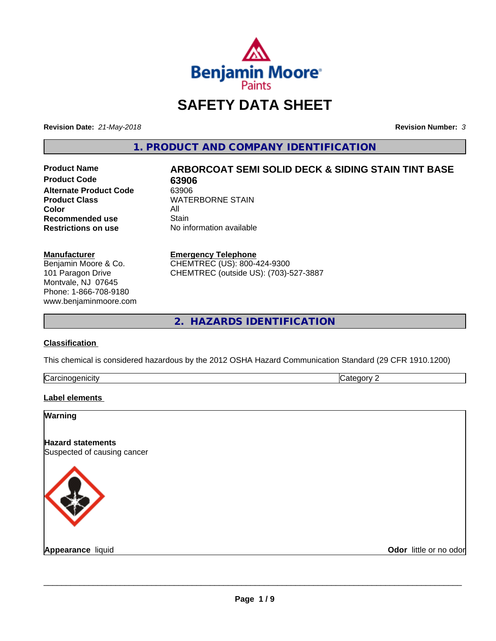

# **SAFETY DATA SHEET**

**Revision Date:** *21-May-2018* **Revision Number:** *3*

**1. PRODUCT AND COMPANY IDENTIFICATION**

**Product Code 63906**<br> **Alternate Product Code** 63906 **Alternate Product Code**<br>Product Class **Color** All All **Recommended use All Stain Recommended use**<br>Restrictions on use

# **Product Name ARBORCOAT SEMI SOLID DECK & SIDING STAIN TINT BASE WATERBORNE STAIN**

**No information available** 

#### **Manufacturer**

Benjamin Moore & Co. 101 Paragon Drive Montvale, NJ 07645 Phone: 1-866-708-9180 www.benjaminmoore.com

#### **Emergency Telephone**

CHEMTREC (US): 800-424-9300 CHEMTREC (outside US): (703)-527-3887

**2. HAZARDS IDENTIFICATION**

### **Classification**

This chemical is considered hazardous by the 2012 OSHA Hazard Communication Standard (29 CFR 1910.1200)

| ∽<br>- - -<br>----<br>.<br>ruard<br>ш<br>. .<br>___ | ш |
|-----------------------------------------------------|---|
|                                                     |   |

### **Label elements**

| <b>Warning</b>                                          |                        |
|---------------------------------------------------------|------------------------|
| <b>Hazard statements</b><br>Suspected of causing cancer |                        |
|                                                         |                        |
| <b>Appearance liquid</b>                                | Odor little or no odor |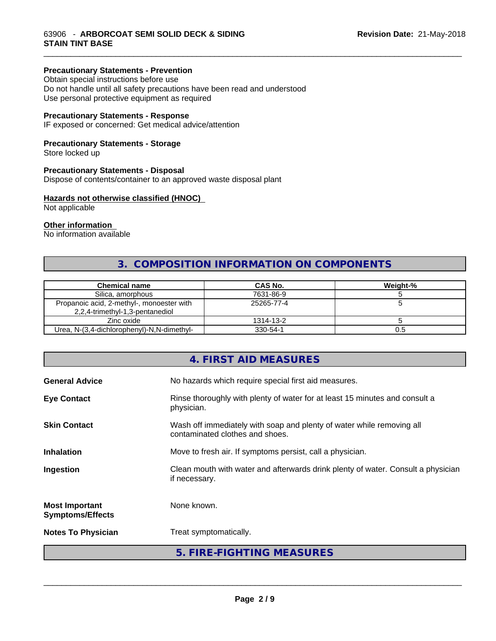#### **Precautionary Statements - Prevention**

Obtain special instructions before use Do not handle until all safety precautions have been read and understood Use personal protective equipment as required

### **Precautionary Statements - Response**

IF exposed or concerned: Get medical advice/attention

#### **Precautionary Statements - Storage**

Store locked up

#### **Precautionary Statements - Disposal**

Dispose of contents/container to an approved waste disposal plant

#### **Hazards not otherwise classified (HNOC)**

Not applicable

#### **Other information**

No information available

# **3. COMPOSITION INFORMATION ON COMPONENTS**

\_\_\_\_\_\_\_\_\_\_\_\_\_\_\_\_\_\_\_\_\_\_\_\_\_\_\_\_\_\_\_\_\_\_\_\_\_\_\_\_\_\_\_\_\_\_\_\_\_\_\_\_\_\_\_\_\_\_\_\_\_\_\_\_\_\_\_\_\_\_\_\_\_\_\_\_\_\_\_\_\_\_\_\_\_\_\_\_\_\_\_\_\_

| <b>Chemical name</b>                                                         | CAS No.    | Weight-% |
|------------------------------------------------------------------------------|------------|----------|
| Silica, amorphous                                                            | 7631-86-9  |          |
| Propanoic acid, 2-methyl-, monoester with<br>2,2,4-trimethyl-1,3-pentanediol | 25265-77-4 |          |
| Zinc oxide                                                                   | 1314-13-2  |          |
| Urea, N-(3,4-dichlorophenyl)-N,N-dimethyl-                                   | 330-54-1   | U.5      |

## **4. FIRST AID MEASURES**

| <b>General Advice</b>                            | No hazards which require special first aid measures.                                                     |
|--------------------------------------------------|----------------------------------------------------------------------------------------------------------|
| <b>Eye Contact</b>                               | Rinse thoroughly with plenty of water for at least 15 minutes and consult a<br>physician.                |
| <b>Skin Contact</b>                              | Wash off immediately with soap and plenty of water while removing all<br>contaminated clothes and shoes. |
| <b>Inhalation</b>                                | Move to fresh air. If symptoms persist, call a physician.                                                |
| Ingestion                                        | Clean mouth with water and afterwards drink plenty of water. Consult a physician<br>if necessary.        |
| <b>Most Important</b><br><b>Symptoms/Effects</b> | None known.                                                                                              |
| <b>Notes To Physician</b>                        | Treat symptomatically.                                                                                   |
|                                                  | 5. FIRE-FIGHTING MEASURES                                                                                |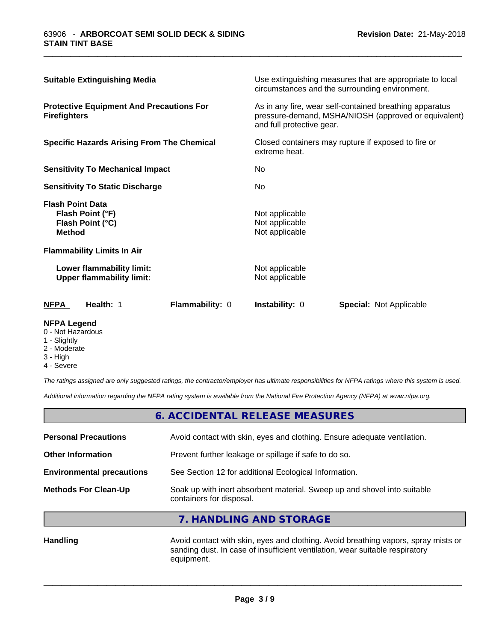| <b>Suitable Extinguishing Media</b>                                                                                       |                        |                                                    | Use extinguishing measures that are appropriate to local<br>circumstances and the surrounding environment.                                   |  |
|---------------------------------------------------------------------------------------------------------------------------|------------------------|----------------------------------------------------|----------------------------------------------------------------------------------------------------------------------------------------------|--|
| <b>Protective Equipment And Precautions For</b><br><b>Firefighters</b>                                                    |                        |                                                    | As in any fire, wear self-contained breathing apparatus<br>pressure-demand, MSHA/NIOSH (approved or equivalent)<br>and full protective gear. |  |
| <b>Specific Hazards Arising From The Chemical</b><br>Closed containers may rupture if exposed to fire or<br>extreme heat. |                        |                                                    |                                                                                                                                              |  |
| <b>Sensitivity To Mechanical Impact</b>                                                                                   |                        | No.                                                |                                                                                                                                              |  |
| <b>Sensitivity To Static Discharge</b>                                                                                    |                        | No.                                                |                                                                                                                                              |  |
| <b>Flash Point Data</b><br>Flash Point (°F)<br>Flash Point (°C)<br><b>Method</b>                                          |                        | Not applicable<br>Not applicable<br>Not applicable |                                                                                                                                              |  |
| <b>Flammability Limits In Air</b>                                                                                         |                        |                                                    |                                                                                                                                              |  |
| Lower flammability limit:<br><b>Upper flammability limit:</b>                                                             |                        | Not applicable<br>Not applicable                   |                                                                                                                                              |  |
| Health: 1<br><b>NFPA</b>                                                                                                  | <b>Flammability: 0</b> | <b>Instability: 0</b>                              | Special: Not Applicable                                                                                                                      |  |

\_\_\_\_\_\_\_\_\_\_\_\_\_\_\_\_\_\_\_\_\_\_\_\_\_\_\_\_\_\_\_\_\_\_\_\_\_\_\_\_\_\_\_\_\_\_\_\_\_\_\_\_\_\_\_\_\_\_\_\_\_\_\_\_\_\_\_\_\_\_\_\_\_\_\_\_\_\_\_\_\_\_\_\_\_\_\_\_\_\_\_\_\_

#### **NFPA Legend**

- 0 Not Hazardous
- 1 Slightly
- 2 Moderate
- 3 High
- 4 Severe

*The ratings assigned are only suggested ratings, the contractor/employer has ultimate responsibilities for NFPA ratings where this system is used.*

*Additional information regarding the NFPA rating system is available from the National Fire Protection Agency (NFPA) at www.nfpa.org.*

|                                  | 6. ACCIDENTAL RELEASE MEASURES                                                                       |
|----------------------------------|------------------------------------------------------------------------------------------------------|
| <b>Personal Precautions</b>      | Avoid contact with skin, eyes and clothing. Ensure adequate ventilation.                             |
| <b>Other Information</b>         | Prevent further leakage or spillage if safe to do so.                                                |
| <b>Environmental precautions</b> | See Section 12 for additional Ecological Information.                                                |
| <b>Methods For Clean-Up</b>      | Soak up with inert absorbent material. Sweep up and shovel into suitable<br>containers for disposal. |

**7. HANDLING AND STORAGE**

Handling **Handling Avoid contact with skin, eyes and clothing. Avoid breathing vapors, spray mists or** sanding dust. In case of insufficient ventilation, wear suitable respiratory equipment.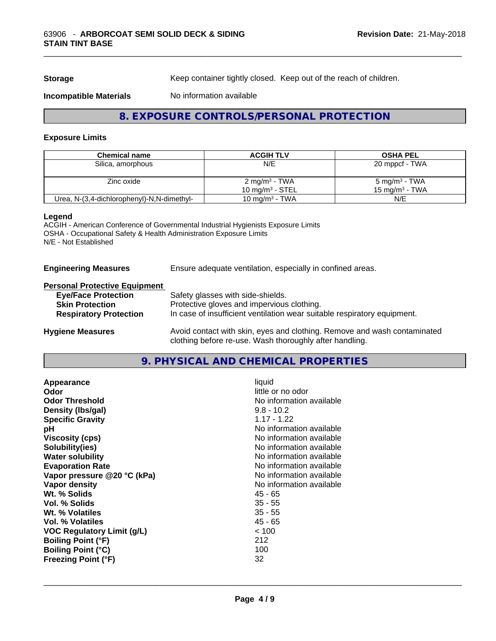**Storage** Keep container tightly closed. Keep out of the reach of children.

#### **Incompatible Materials** No information available

# **8. EXPOSURE CONTROLS/PERSONAL PROTECTION**

\_\_\_\_\_\_\_\_\_\_\_\_\_\_\_\_\_\_\_\_\_\_\_\_\_\_\_\_\_\_\_\_\_\_\_\_\_\_\_\_\_\_\_\_\_\_\_\_\_\_\_\_\_\_\_\_\_\_\_\_\_\_\_\_\_\_\_\_\_\_\_\_\_\_\_\_\_\_\_\_\_\_\_\_\_\_\_\_\_\_\_\_\_

#### **Exposure Limits**

| <b>Chemical name</b>                       | <b>ACGIH TLV</b>          | <b>OSHA PEL</b>            |
|--------------------------------------------|---------------------------|----------------------------|
| Silica, amorphous                          | N/E                       | 20 mppcf - TWA             |
|                                            |                           |                            |
| Zinc oxide                                 | 2 mg/m <sup>3</sup> - TWA | $5 \text{ mg/m}^3$ - TWA   |
|                                            | 10 mg/m $3$ - STEL        | 15 mg/m <sup>3</sup> - TWA |
| Urea, N-(3,4-dichlorophenyl)-N,N-dimethyl- | 10 mg/m $3$ - TWA         | N/E                        |

#### **Legend**

ACGIH - American Conference of Governmental Industrial Hygienists Exposure Limits OSHA - Occupational Safety & Health Administration Exposure Limits N/E - Not Established

**Engineering Measures** Ensure adequate ventilation, especially in confined areas.

# **Personal Protective Equipment**

| <b>Eye/Face Protection</b>    | Safety glasses with side-shields.                                                                                                   |
|-------------------------------|-------------------------------------------------------------------------------------------------------------------------------------|
| <b>Skin Protection</b>        | Protective gloves and impervious clothing.                                                                                          |
| <b>Respiratory Protection</b> | In case of insufficient ventilation wear suitable respiratory equipment.                                                            |
| <b>Hygiene Measures</b>       | Avoid contact with skin, eyes and clothing. Remove and wash contaminated<br>clothing before re-use. Wash thoroughly after handling. |

### **9. PHYSICAL AND CHEMICAL PROPERTIES**

| Appearance                  | liquid                   |
|-----------------------------|--------------------------|
| Odor                        | little or no odor        |
| <b>Odor Threshold</b>       | No information available |
| Density (Ibs/gal)           | $9.8 - 10.2$             |
| <b>Specific Gravity</b>     | $1.17 - 1.22$            |
| рH                          | No information available |
| <b>Viscosity (cps)</b>      | No information available |
| Solubility(ies)             | No information available |
| <b>Water solubility</b>     | No information available |
| <b>Evaporation Rate</b>     | No information available |
| Vapor pressure @20 °C (kPa) | No information available |
| Vapor density               | No information available |
| Wt. % Solids                | 45 - 65                  |
| Vol. % Solids               | $35 - 55$                |
| Wt. % Volatiles             | $35 - 55$                |
| Vol. % Volatiles            | 45 - 65                  |
| VOC Regulatory Limit (g/L)  | < 100                    |
| <b>Boiling Point (°F)</b>   | 212                      |
| <b>Boiling Point (°C)</b>   | 100                      |
| <b>Freezing Point (°F)</b>  | 32                       |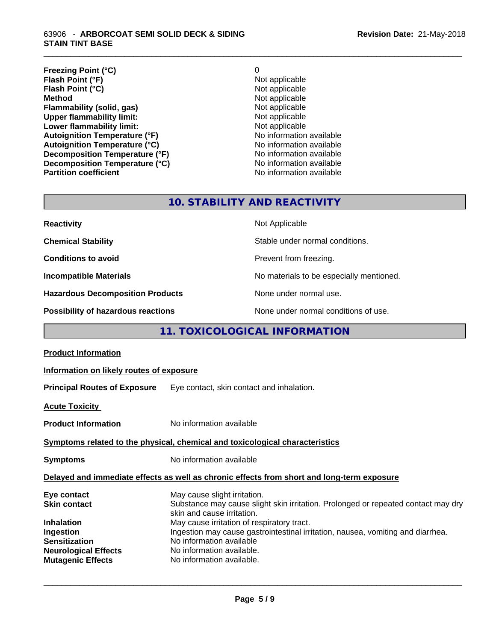#### 63906 - **ARBORCOAT SEMI SOLID DECK & SIDING STAIN TINT BASE**

| <b>Freezing Point (°C)</b>           | 0                        |
|--------------------------------------|--------------------------|
| Flash Point (°F)                     | Not applicable           |
| Flash Point (°C)                     | Not applicable           |
| <b>Method</b>                        | Not applicable           |
| Flammability (solid, gas)            | Not applicable           |
| <b>Upper flammability limit:</b>     | Not applicable           |
| Lower flammability limit:            | Not applicable           |
| <b>Autoignition Temperature (°F)</b> | No information available |
| <b>Autoignition Temperature (°C)</b> | No information available |
| Decomposition Temperature (°F)       | No information available |
| Decomposition Temperature (°C)       | No information available |
| <b>Partition coefficient</b>         | No information available |

\_\_\_\_\_\_\_\_\_\_\_\_\_\_\_\_\_\_\_\_\_\_\_\_\_\_\_\_\_\_\_\_\_\_\_\_\_\_\_\_\_\_\_\_\_\_\_\_\_\_\_\_\_\_\_\_\_\_\_\_\_\_\_\_\_\_\_\_\_\_\_\_\_\_\_\_\_\_\_\_\_\_\_\_\_\_\_\_\_\_\_\_\_

# **10. STABILITY AND REACTIVITY**

| <b>Reactivity</b>                       | Not Applicable                           |
|-----------------------------------------|------------------------------------------|
| <b>Chemical Stability</b>               | Stable under normal conditions.          |
| <b>Conditions to avoid</b>              | Prevent from freezing.                   |
| <b>Incompatible Materials</b>           | No materials to be especially mentioned. |
| <b>Hazardous Decomposition Products</b> | None under normal use.                   |
| Possibility of hazardous reactions      | None under normal conditions of use.     |

# **11. TOXICOLOGICAL INFORMATION**

| <b>Product Information</b>                                                                   |                                                                                                                                                                                                                                                                                                              |  |
|----------------------------------------------------------------------------------------------|--------------------------------------------------------------------------------------------------------------------------------------------------------------------------------------------------------------------------------------------------------------------------------------------------------------|--|
| Information on likely routes of exposure                                                     |                                                                                                                                                                                                                                                                                                              |  |
|                                                                                              | <b>Principal Routes of Exposure</b> Eye contact, skin contact and inhalation.                                                                                                                                                                                                                                |  |
| <b>Acute Toxicity</b>                                                                        |                                                                                                                                                                                                                                                                                                              |  |
| <b>Product Information</b>                                                                   | No information available                                                                                                                                                                                                                                                                                     |  |
| Symptoms related to the physical, chemical and toxicological characteristics                 |                                                                                                                                                                                                                                                                                                              |  |
| <b>Symptoms</b>                                                                              | No information available                                                                                                                                                                                                                                                                                     |  |
| Delayed and immediate effects as well as chronic effects from short and long-term exposure   |                                                                                                                                                                                                                                                                                                              |  |
| Eye contact<br><b>Skin contact</b><br><b>Inhalation</b><br>Ingestion<br><b>Sensitization</b> | May cause slight irritation.<br>Substance may cause slight skin irritation. Prolonged or repeated contact may dry<br>skin and cause irritation.<br>May cause irritation of respiratory tract.<br>Ingestion may cause gastrointestinal irritation, nausea, vomiting and diarrhea.<br>No information available |  |
| <b>Neurological Effects</b><br><b>Mutagenic Effects</b>                                      | No information available.<br>No information available.                                                                                                                                                                                                                                                       |  |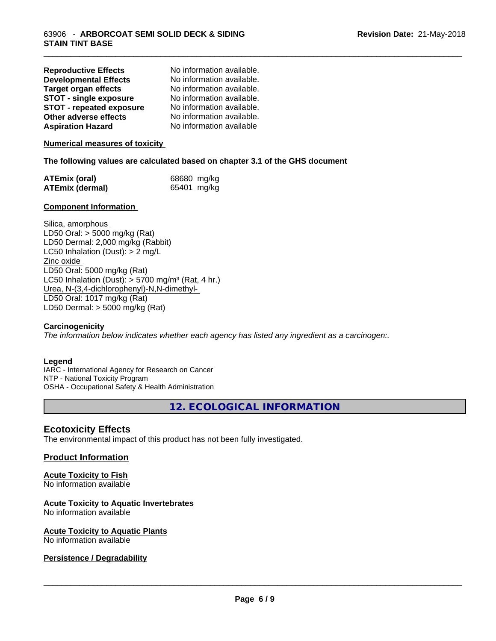| <b>Reproductive Effects</b>     | No information available. |
|---------------------------------|---------------------------|
| <b>Developmental Effects</b>    | No information available. |
| <b>Target organ effects</b>     | No information available. |
| <b>STOT - single exposure</b>   | No information available. |
| <b>STOT - repeated exposure</b> | No information available. |
| Other adverse effects           | No information available. |
| <b>Aspiration Hazard</b>        | No information available  |

#### **Numerical measures of toxicity**

#### **The following values are calculated based on chapter 3.1 of the GHS document**

| <b>ATEmix (oral)</b>   | 68680 mg/kg |
|------------------------|-------------|
| <b>ATEmix (dermal)</b> | 65401 mg/kg |

#### **Component Information**

Silica, amorphous LD50 Oral: > 5000 mg/kg (Rat) LD50 Dermal: 2,000 mg/kg (Rabbit) LC50 Inhalation (Dust): > 2 mg/L Zinc oxide LD50 Oral: 5000 mg/kg (Rat) LC50 Inhalation (Dust):  $> 5700$  mg/m<sup>3</sup> (Rat, 4 hr.) Urea, N-(3,4-dichlorophenyl)-N,N-dimethyl- LD50 Oral: 1017 mg/kg (Rat) LD50 Dermal: > 5000 mg/kg (Rat)

#### **Carcinogenicity**

*The information below indicateswhether each agency has listed any ingredient as a carcinogen:.*

#### **Legend**

IARC - International Agency for Research on Cancer NTP - National Toxicity Program OSHA - Occupational Safety & Health Administration

**12. ECOLOGICAL INFORMATION**

\_\_\_\_\_\_\_\_\_\_\_\_\_\_\_\_\_\_\_\_\_\_\_\_\_\_\_\_\_\_\_\_\_\_\_\_\_\_\_\_\_\_\_\_\_\_\_\_\_\_\_\_\_\_\_\_\_\_\_\_\_\_\_\_\_\_\_\_\_\_\_\_\_\_\_\_\_\_\_\_\_\_\_\_\_\_\_\_\_\_\_\_\_

### **Ecotoxicity Effects**

The environmental impact of this product has not been fully investigated.

#### **Product Information**

# **Acute Toxicity to Fish**

No information available

#### **Acute Toxicity to Aquatic Invertebrates**

No information available

## **Acute Toxicity to Aquatic Plants**

No information available

#### **Persistence / Degradability**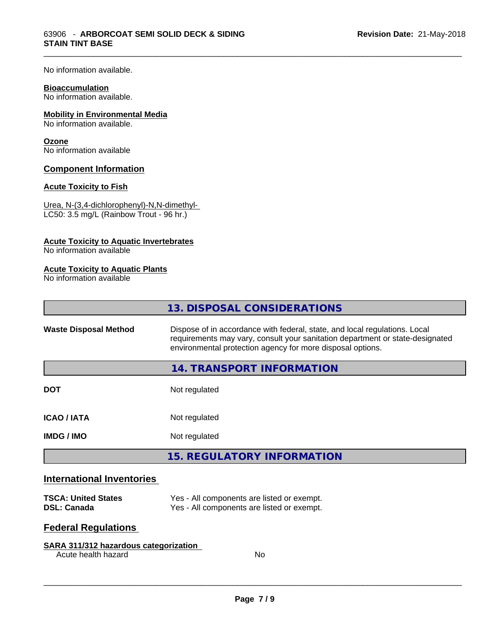No information available.

#### **Bioaccumulation**

No information available.

#### **Mobility in Environmental Media**

No information available.

#### **Ozone**

No information available

#### **Component Information**

#### **Acute Toxicity to Fish**

Urea, N-(3,4-dichlorophenyl)-N,N-dimethyl- LC50: 3.5 mg/L (Rainbow Trout - 96 hr.)

#### **Acute Toxicity to Aquatic Invertebrates**

No information available

#### **Acute Toxicity to Aquatic Plants**

No information available

|                                                                                                                                                                                                                                                           | 13. DISPOSAL CONSIDERATIONS                                                              |  |
|-----------------------------------------------------------------------------------------------------------------------------------------------------------------------------------------------------------------------------------------------------------|------------------------------------------------------------------------------------------|--|
| Dispose of in accordance with federal, state, and local regulations. Local<br><b>Waste Disposal Method</b><br>requirements may vary, consult your sanitation department or state-designated<br>environmental protection agency for more disposal options. |                                                                                          |  |
|                                                                                                                                                                                                                                                           | 14. TRANSPORT INFORMATION                                                                |  |
| <b>DOT</b>                                                                                                                                                                                                                                                | Not regulated                                                                            |  |
| <b>ICAO / IATA</b>                                                                                                                                                                                                                                        | Not regulated                                                                            |  |
| <b>IMDG/IMO</b>                                                                                                                                                                                                                                           | Not regulated                                                                            |  |
|                                                                                                                                                                                                                                                           | <b>15. REGULATORY INFORMATION</b>                                                        |  |
| <b>International Inventories</b>                                                                                                                                                                                                                          |                                                                                          |  |
| <b>TSCA: United States</b><br><b>DSL: Canada</b>                                                                                                                                                                                                          | Yes - All components are listed or exempt.<br>Yes - All components are listed or exempt. |  |

\_\_\_\_\_\_\_\_\_\_\_\_\_\_\_\_\_\_\_\_\_\_\_\_\_\_\_\_\_\_\_\_\_\_\_\_\_\_\_\_\_\_\_\_\_\_\_\_\_\_\_\_\_\_\_\_\_\_\_\_\_\_\_\_\_\_\_\_\_\_\_\_\_\_\_\_\_\_\_\_\_\_\_\_\_\_\_\_\_\_\_\_\_

# **Federal Regulations**

#### **SARA 311/312 hazardous categorization**

Acute health hazard No

Yes - All components are listed or exempt.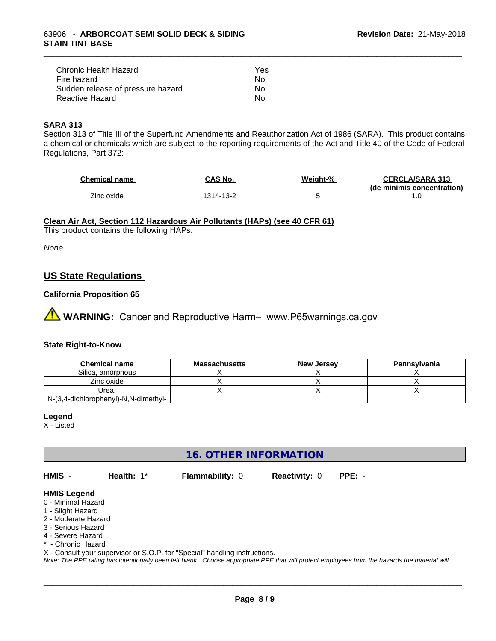| Chronic Health Hazard             | Yes |
|-----------------------------------|-----|
| Fire hazard                       | Nο  |
| Sudden release of pressure hazard | Nο  |
| Reactive Hazard                   | N٥  |

#### **SARA 313**

Section 313 of Title III of the Superfund Amendments and Reauthorization Act of 1986 (SARA). This product contains a chemical or chemicals which are subject to the reporting requirements of the Act and Title 40 of the Code of Federal Regulations, Part 372:

| <b>Chemical name</b> | <b>CAS No.</b> | Weight-% | <b>CERCLA/SARA 313</b>     |
|----------------------|----------------|----------|----------------------------|
| Zinc oxide           | 1314-13-2      |          | (de minimis concentration) |
|                      |                |          |                            |

\_\_\_\_\_\_\_\_\_\_\_\_\_\_\_\_\_\_\_\_\_\_\_\_\_\_\_\_\_\_\_\_\_\_\_\_\_\_\_\_\_\_\_\_\_\_\_\_\_\_\_\_\_\_\_\_\_\_\_\_\_\_\_\_\_\_\_\_\_\_\_\_\_\_\_\_\_\_\_\_\_\_\_\_\_\_\_\_\_\_\_\_\_

#### **Clean Air Act,Section 112 Hazardous Air Pollutants (HAPs) (see 40 CFR 61)**

This product contains the following HAPs:

*None*

# **US State Regulations**

#### **California Proposition 65**

**AN** WARNING: Cancer and Reproductive Harm– www.P65warnings.ca.gov

### **State Right-to-Know**

| <b>Chemical name</b>                 | <b>Massachusetts</b> | <b>New Jersey</b> | Pennsylvania |
|--------------------------------------|----------------------|-------------------|--------------|
| Silica, amorphous                    |                      |                   |              |
| Zinc oxide                           |                      |                   |              |
| Urea.                                |                      |                   |              |
| N-(3,4-dichlorophenyl)-N,N-dimethyl- |                      |                   |              |

#### **Legend**

X - Listed

## **16. OTHER INFORMATION**

**HMIS** - **Health:** 1\* **Flammability:** 0 **Reactivity:** 0 **PPE:** -

 $\overline{\phantom{a}}$  ,  $\overline{\phantom{a}}$  ,  $\overline{\phantom{a}}$  ,  $\overline{\phantom{a}}$  ,  $\overline{\phantom{a}}$  ,  $\overline{\phantom{a}}$  ,  $\overline{\phantom{a}}$  ,  $\overline{\phantom{a}}$  ,  $\overline{\phantom{a}}$  ,  $\overline{\phantom{a}}$  ,  $\overline{\phantom{a}}$  ,  $\overline{\phantom{a}}$  ,  $\overline{\phantom{a}}$  ,  $\overline{\phantom{a}}$  ,  $\overline{\phantom{a}}$  ,  $\overline{\phantom{a}}$ 

#### **HMIS Legend**

- 0 Minimal Hazard
- 1 Slight Hazard
- 2 Moderate Hazard
- 3 Serious Hazard
- 4 Severe Hazard
- \* Chronic Hazard

X - Consult your supervisor or S.O.P. for "Special" handling instructions.

*Note: The PPE rating has intentionally been left blank. Choose appropriate PPE that will protect employees from the hazards the material will*